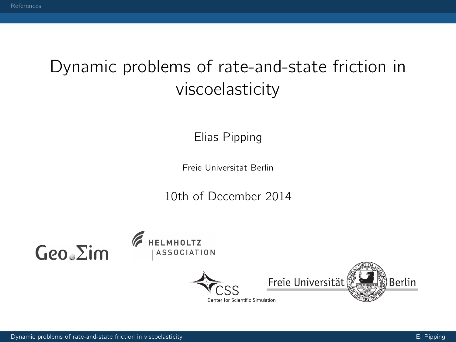## <span id="page-0-0"></span>Dynamic problems of rate-and-state friction in viscoelasticity

Elias Pipping

Freie Universität Berlin

10th of December 2014

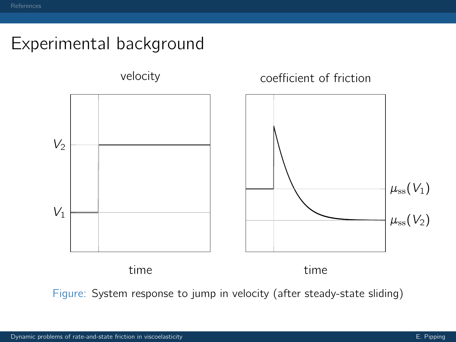## Experimental background

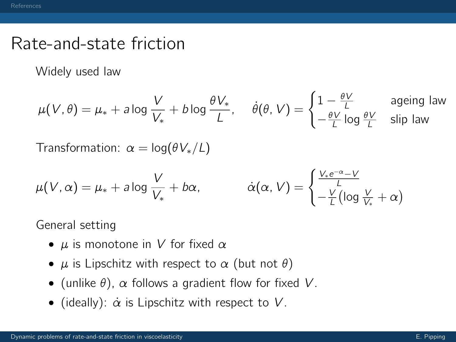#### Rate-and-state friction

Widely used law

$$
\mu(V,\theta) = \mu_* + a \log \frac{V}{V_*} + b \log \frac{\theta V_*}{L}, \quad \dot{\theta}(\theta, V) = \begin{cases} 1 - \frac{\theta V}{L} & \text{aging law} \\ -\frac{\theta V}{L} \log \frac{\theta V}{L} & \text{slip law} \end{cases}
$$

Transformation:  $\alpha = \log(\theta V_*/L)$ 

$$
\mu(V, \alpha) = \mu_* + a \log \frac{V}{V_*} + b\alpha, \qquad \dot{\alpha}(\alpha, V) = \begin{cases} \frac{V_* e^{-\alpha} - V}{L} \\ -\frac{V}{L} (\log \frac{V}{V_*} + \alpha) \end{cases}
$$

General setting

- $\mu$  is monotone in V for fixed  $\alpha$
- $\mu$  is Lipschitz with respect to  $\alpha$  (but not  $\theta$ )
- (unlike  $\theta$ ),  $\alpha$  follows a gradient flow for fixed V.
- (ideally):  $\alpha$  is Lipschitz with respect to V.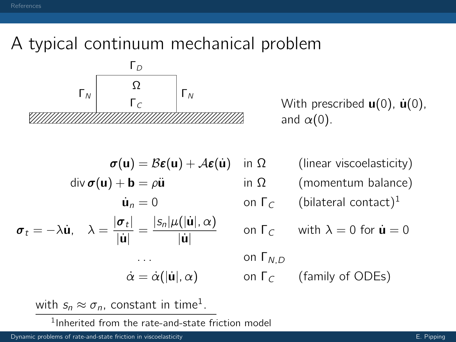# A typical continuum mechanical problem



 $\Gamma_c$  |  $\gamma$  With prescribed **u**(0), **u**(0), and  $\alpha(0)$ .

$$
\sigma(\mathbf{u}) = B\epsilon(\mathbf{u}) + A\epsilon(\mathbf{\dot{u}})
$$
  
\ndiv  $\sigma(\mathbf{u}) + \mathbf{b} = \rho \ddot{\mathbf{u}}$   
\n $\dot{\mathbf{u}}_n = 0$   
\n $\sigma_t = -\lambda \dot{\mathbf{u}}, \quad \lambda = \frac{|\sigma_t|}{|\dot{\mathbf{u}}|} = \frac{|s_n|\mu(|\dot{\mathbf{u}}|, \alpha)}{|\dot{\mathbf{u}}|}$   
\n...  
\n $\dot{\alpha} = \dot{\alpha}(|\dot{\mathbf{u}}|, \alpha)$ 

in  $\Omega$  (linear viscoelasticity) in  $\Omega$  (momentum balance)

$$
\dot{\mathbf{u}}_n = 0
$$
 on  $\Gamma_C$  (bilateral contact)<sup>1</sup>

on 
$$
\Gamma_C
$$
 with  $\lambda = 0$  for  $\dot{\mathbf{u}} = 0$ 

on  $Γ<sub>ND</sub>$ 

on  $\Gamma_c$  (family of ODEs)

with  $s_n \approx \sigma_n$ , constant in time<sup>1</sup>.

1 Inherited from the rate-and-state friction model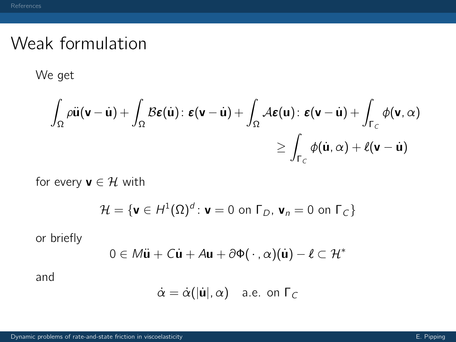#### Weak formulation

We get

$$
\int_{\Omega} \rho \ddot{\mathbf{u}}(\mathbf{v} - \dot{\mathbf{u}}) + \int_{\Omega} \mathcal{B}\boldsymbol{\epsilon}(\dot{\mathbf{u}}) \colon \boldsymbol{\epsilon}(\mathbf{v} - \dot{\mathbf{u}}) + \int_{\Omega} \mathcal{A}\boldsymbol{\epsilon}(\mathbf{u}) \colon \boldsymbol{\epsilon}(\mathbf{v} - \dot{\mathbf{u}}) + \int_{\Gamma_C} \phi(\mathbf{v}, \alpha) \\
\geq \int_{\Gamma_C} \phi(\dot{\mathbf{u}}, \alpha) + \ell(\mathbf{v} - \dot{\mathbf{u}})
$$

for every  $\mathbf{v} \in \mathcal{H}$  with

$$
\mathcal{H} = \{ \mathbf{v} \in H^1(\Omega)^d : \mathbf{v} = 0 \text{ on } \Gamma_D, \mathbf{v}_n = 0 \text{ on } \Gamma_C \}
$$

or briefly

$$
0 \in M\ddot{\mathbf{u}} + C\dot{\mathbf{u}} + A\mathbf{u} + \partial \Phi(\cdot, \alpha)(\dot{\mathbf{u}}) - \ell \subset \mathcal{H}^*
$$

and

$$
\dot{\alpha} = \dot{\alpha}(|\dot{\mathbf{u}}|, \alpha) \quad \text{a.e. on } \Gamma_C
$$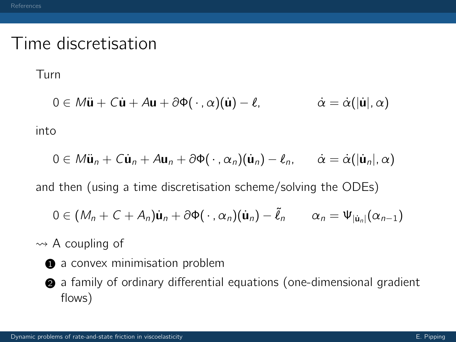#### Time discretisation

Turn

$$
0 \in M\ddot{\mathbf{u}} + C\dot{\mathbf{u}} + A\mathbf{u} + \partial \Phi(\cdot, \alpha)(\dot{\mathbf{u}}) - \ell, \qquad \dot{\alpha} = \dot{\alpha}(|\dot{\mathbf{u}}|, \alpha)
$$

into

$$
0\in M\ddot{\mathbf{u}}_n+\mathbf{C}\dot{\mathbf{u}}_n+\mathbf{A}\mathbf{u}_n+\partial\Phi(\cdot,\alpha_n)(\dot{\mathbf{u}}_n)-\ell_n,\qquad\dot{\alpha}=\dot{\alpha}(|\dot{\mathbf{u}}_n|,\alpha)
$$

and then (using a time discretisation scheme/solving the ODEs)

$$
0\in (M_n+C+A_n)\dot{\mathbf{u}}_n+\partial\Phi(\cdot,\alpha_n)(\dot{\mathbf{u}}_n)-\tilde{\ell}_n\qquad\alpha_n=\Psi_{|\dot{\mathbf{u}}_n|}(\alpha_{n-1})
$$

 $\rightsquigarrow$  A coupling of

- **1** a convex minimisation problem
- <sup>2</sup> a family of ordinary differential equations (one-dimensional gradient flows)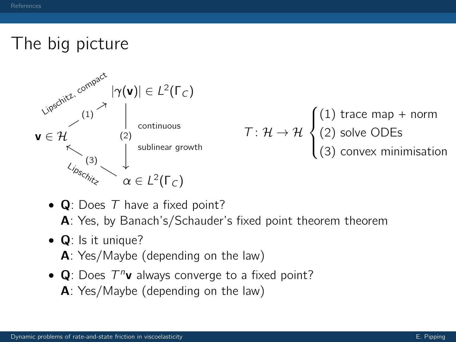## The big picture



•  $\bf{Q}$ : Does T have a fixed point?

A: Yes, by Banach's/Schauder's fixed point theorem theorem

- $\bullet$  Q: Is it unique?
	- A: Yes/Maybe (depending on the law)
- $Q$ : Does  $T^n v$  always converge to a fixed point? A: Yes/Maybe (depending on the law)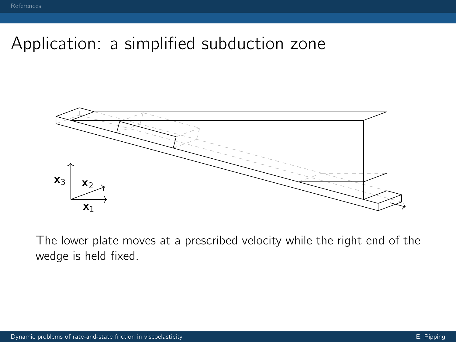## Application: a simplified subduction zone



The lower plate moves at a prescribed velocity while the right end of the wedge is held fixed.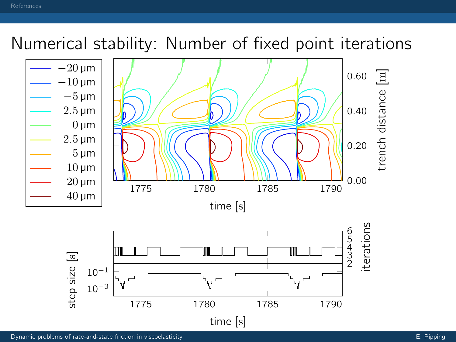## Numerical stability: Number of fixed point iterations



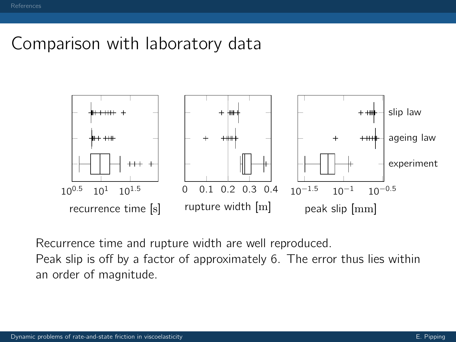#### Comparison with laboratory data



Recurrence time and rupture width are well reproduced.

Peak slip is off by a factor of approximately 6. The error thus lies within an order of magnitude.